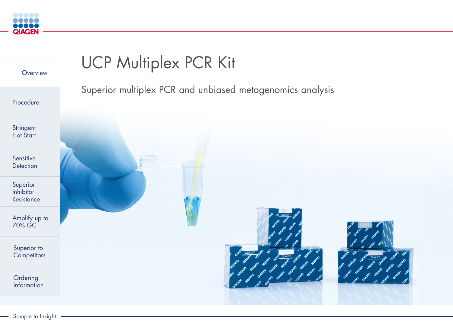<span id="page-0-0"></span>

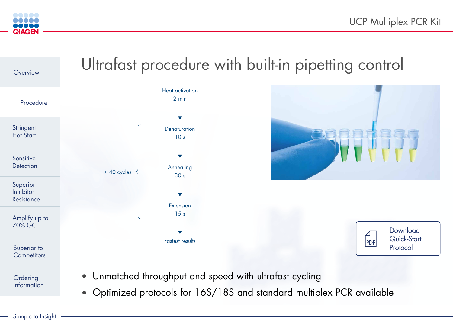## Ultrafast procedure with built-in pipetting control





### **Download** [Quick-Start](https://www.qiagen.com/resources/resourcedetail?id=5dd49b6b-0700-45ef-8356-38676339cb0d&lang=en)  Protocol

<span id="page-1-0"></span>



• Unmatched throughput and speed with ultrafast cycling

• Optimized protocols for 16S/18S and standard multiplex PCR available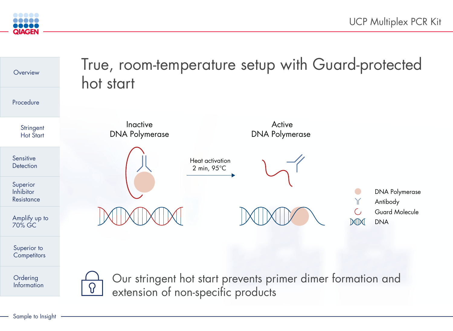<span id="page-2-0"></span>

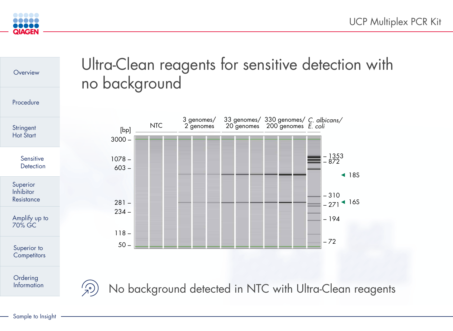



<span id="page-3-0"></span>

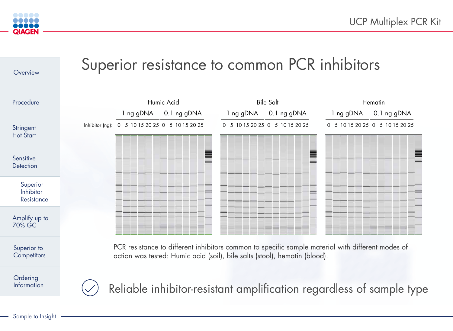

<span id="page-4-0"></span>

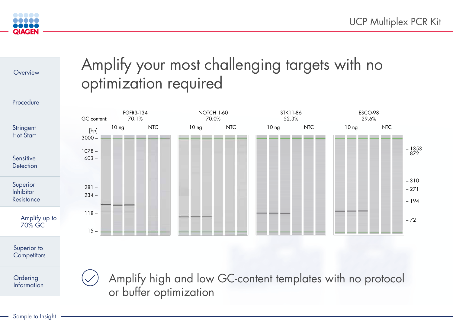<span id="page-5-0"></span>

**[Overview](#page-0-0)** 

Sample to Insight

[Procedure](#page-1-0)

# Amplify your most challenging targets with no





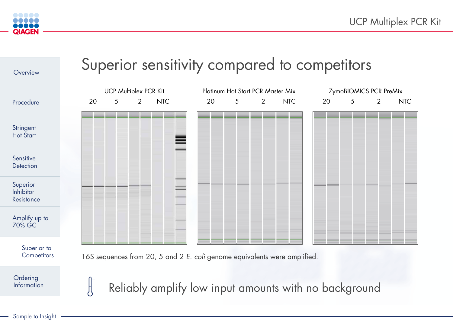<span id="page-6-0"></span>



## Superior sensitivity compared to competitors

Reliably amplify low input amounts with no background

| Platinum Hot Start PCR Master Mix |                |                                                |     | ZymoBIOMICS PCR PreMix |                                                                                                                                                                                                                               |                |                                                                                        |
|-----------------------------------|----------------|------------------------------------------------|-----|------------------------|-------------------------------------------------------------------------------------------------------------------------------------------------------------------------------------------------------------------------------|----------------|----------------------------------------------------------------------------------------|
| 20                                | 5 <sup>1</sup> | 2 <sup>7</sup>                                 | NTC | 20                     | $5\overline{)}$                                                                                                                                                                                                               | $\overline{2}$ | <b>NTC</b>                                                                             |
|                                   |                |                                                |     |                        |                                                                                                                                                                                                                               |                |                                                                                        |
|                                   |                |                                                |     |                        |                                                                                                                                                                                                                               |                |                                                                                        |
|                                   |                |                                                |     |                        |                                                                                                                                                                                                                               |                |                                                                                        |
|                                   |                |                                                |     |                        |                                                                                                                                                                                                                               |                |                                                                                        |
|                                   |                |                                                |     |                        |                                                                                                                                                                                                                               |                |                                                                                        |
|                                   |                |                                                |     |                        |                                                                                                                                                                                                                               |                |                                                                                        |
|                                   |                |                                                |     |                        |                                                                                                                                                                                                                               |                |                                                                                        |
|                                   |                |                                                |     |                        |                                                                                                                                                                                                                               |                |                                                                                        |
|                                   |                |                                                |     |                        |                                                                                                                                                                                                                               |                |                                                                                        |
|                                   |                |                                                |     |                        |                                                                                                                                                                                                                               |                |                                                                                        |
|                                   |                |                                                |     |                        |                                                                                                                                                                                                                               |                |                                                                                        |
|                                   |                | <u> 1989 - Johann Stoff, Amerikaansk konst</u> |     |                        | the control of the control of the control of the control of the control of the control of the control of the control of the control of the control of the control of the control of the control of the control of the control | ______         | the control of the control of the con-<br>the control of the control of the control of |
|                                   |                |                                                |     |                        |                                                                                                                                                                                                                               |                |                                                                                        |

16S sequences from 20, 5 and 2 *E. coli* genome equivalents were amplified.